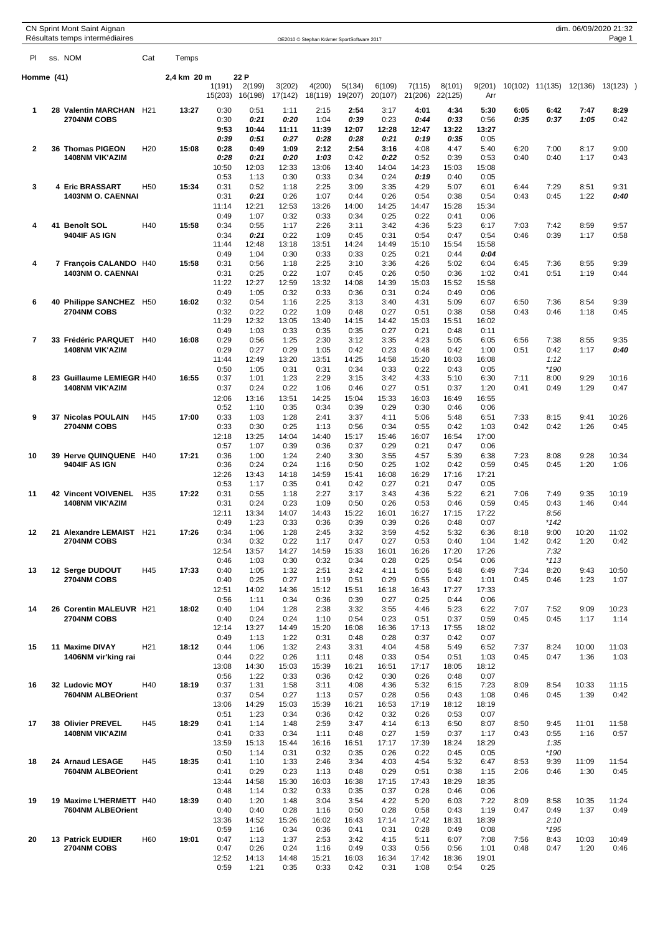|                | CN Sprint Mont Saint Aignan                          |                          |                 |             |               |                |               |               |                                            |               |               |               |               |              |                 | dim. 06/09/2020 21:32 |               |  |
|----------------|------------------------------------------------------|--------------------------|-----------------|-------------|---------------|----------------|---------------|---------------|--------------------------------------------|---------------|---------------|---------------|---------------|--------------|-----------------|-----------------------|---------------|--|
| PI             | Résultats temps intermédiaires<br>ss. NOM            |                          | Cat             | Temps       |               |                |               |               | OE2010 © Stephan Krämer SportSoftware 2017 |               |               |               |               |              |                 |                       | Page 1        |  |
|                |                                                      |                          |                 |             |               |                |               |               |                                            |               |               |               |               |              |                 |                       |               |  |
| Homme (41)     |                                                      |                          |                 | 2,4 km 20 m | 1(191)        | 22 P<br>2(199) | 3(202)        | 4(200)        | 5(134)                                     | 6(109)        | 7(115)        | 8(101)        | 9(201)        |              | 10(102) 11(135) | 12(136)               | $13(123)$ )   |  |
|                |                                                      |                          |                 |             | 15(203)       | 16(198)        | 17(142)       | 18(119)       | 19(207)                                    | 20(107)       | 21(206)       | 22(125)       | Arr           |              |                 |                       |               |  |
| 1              | 28 Valentin MARCHAN H21<br>2704NM COBS               |                          |                 | 13:27       | 0:30<br>0:30  | 0:51<br>0:21   | 1:11<br>0:20  | 2:15<br>1:04  | 2:54<br>0:39                               | 3:17<br>0:23  | 4:01<br>0:44  | 4:34<br>0:33  | 5:30<br>0:56  | 6:05<br>0:35 | 6:42<br>0:37    | 7:47<br>1:05          | 8:29<br>0:42  |  |
|                |                                                      |                          |                 |             | 9:53<br>0:39  | 10:44<br>0:51  | 11:11<br>0:27 | 11:39<br>0:28 | 12:07<br>0:28                              | 12:28<br>0:21 | 12:47<br>0:19 | 13:22<br>0:35 | 13:27<br>0:05 |              |                 |                       |               |  |
| $\mathbf{2}$   | 36 Thomas PIGEON                                     |                          | H <sub>20</sub> | 15:08       | 0:28          | 0:49           | 1:09          | 2:12          | 2:54                                       | 3:16          | 4:08          | 4:47          | 5:40          | 6:20         | 7:00            | 8:17                  | 9:00          |  |
|                | <b>1408NM VIK'AZIM</b>                               |                          |                 |             | 0:28<br>10:50 | 0:21<br>12:03  | 0:20<br>12:33 | 1:03<br>13:06 | 0:42<br>13:40                              | 0:22<br>14:04 | 0:52<br>14:23 | 0:39<br>15:03 | 0:53<br>15:08 | 0:40         | 0:40            | 1:17                  | 0:43          |  |
|                |                                                      |                          |                 |             | 0:53          | 1:13           | 0:30          | 0:33          | 0:34                                       | 0:24          | 0:19          | 0:40          | 0:05          |              |                 |                       |               |  |
| 3              | 4 Eric BRASSART                                      | <b>1403NM O. CAENNAI</b> | H <sub>50</sub> | 15:34       | 0:31<br>0:31  | 0:52<br>0:21   | 1:18<br>0:26  | 2:25<br>1:07  | 3:09<br>0:44                               | 3:35<br>0:26  | 4:29<br>0:54  | 5:07<br>0:38  | 6:01<br>0:54  | 6:44<br>0:43 | 7:29<br>0:45    | 8:51<br>1:22          | 9:31<br>0:40  |  |
|                |                                                      |                          |                 |             | 11:14         | 12:21          | 12:53         | 13:26         | 14:00                                      | 14:25         | 14:47         | 15:28         | 15:34         |              |                 |                       |               |  |
| 4              | 41 Benoît SOL                                        |                          | H40             | 15:58       | 0:49<br>0:34  | 1:07<br>0:55   | 0:32<br>1:17  | 0:33<br>2:26  | 0:34<br>3:11                               | 0:25<br>3:42  | 0:22<br>4:36  | 0:41<br>5:23  | 0:06<br>6:17  | 7:03         | 7:42            | 8:59                  | 9:57          |  |
|                | 9404IF AS IGN                                        |                          |                 |             | 0:34          | 0:21           | 0:22          | 1:09          | 0:45                                       | 0:31          | 0:54          | 0:47          | 0:54          | 0:46         | 0:39            | 1:17                  | 0:58          |  |
|                |                                                      |                          |                 |             | 11:44<br>0:49 | 12:48<br>1:04  | 13:18<br>0:30 | 13:51<br>0:33 | 14:24<br>0:33                              | 14:49<br>0:25 | 15:10<br>0:21 | 15:54<br>0:44 | 15:58<br>0:04 |              |                 |                       |               |  |
| 4<br>6         | 7 François CALANDO H40                               |                          |                 | 15:58       | 0:31          | 0:56           | 1:18          | 2:25          | 3:10                                       | 3:36          | 4:26          | 5:02          | 6:04          | 6:45         | 7:36            | 8:55                  | 9:39          |  |
|                |                                                      | 1403NM O. CAENNAI        |                 |             | 0:31<br>11:22 | 0:25<br>12:27  | 0:22<br>12:59 | 1:07<br>13:32 | 0:45<br>14:08                              | 0:26<br>14:39 | 0:50<br>15:03 | 0:36<br>15:52 | 1:02<br>15:58 | 0:41         | 0:51            | 1:19                  | 0:44          |  |
|                | 40 Philippe SANCHEZ H50                              |                          |                 | 16:02       | 0:49<br>0:32  | 1:05<br>0:54   | 0:32<br>1:16  | 0:33<br>2:25  | 0:36<br>3:13                               | 0:31<br>3:40  | 0:24<br>4:31  | 0:49<br>5:09  | 0:06<br>6:07  | 6:50         | 7:36            | 8:54                  | 9:39          |  |
|                | 2704NM COBS                                          |                          |                 |             | 0:32          | 0:22           | 0:22          | 1:09          | 0:48                                       | 0:27          | 0:51          | 0:38          | 0:58          | 0:43         | 0:46            | 1:18                  | 0:45          |  |
|                |                                                      |                          |                 |             | 11:29<br>0:49 | 12:32<br>1:03  | 13:05<br>0:33 | 13:40<br>0:35 | 14:15<br>0:35                              | 14:42<br>0:27 | 15:03<br>0:21 | 15:51<br>0:48 | 16:02<br>0:11 |              |                 |                       |               |  |
| $\overline{7}$ | 33 Frédéric PARQUET                                  |                          | H40             | 16:08       | 0:29          | 0:56           | 1:25          | 2:30          | 3:12                                       | 3:35          | 4:23          | 5:05          | 6:05          | 6:56         | 7:38            | 8:55                  | 9:35          |  |
|                | <b>1408NM VIK'AZIM</b>                               |                          |                 |             | 0:29<br>11:44 | 0:27<br>12:49  | 0:29<br>13:20 | 1:05<br>13:51 | 0:42<br>14:25                              | 0:23<br>14:58 | 0:48<br>15:20 | 0:42<br>16:03 | 1:00<br>16:08 | 0:51         | 0:42<br>1:12    | 1:17                  | 0:40          |  |
|                |                                                      |                          |                 |             | 0:50          | 1:05           | 0:31          | 0:31          | 0:34                                       | 0:33          | 0:22          | 0:43          | 0:05          |              | *190            |                       |               |  |
| 8              | 23 Guillaume LEMIEGR H40<br><b>1408NM VIK'AZIM</b>   |                          |                 | 16:55       | 0:37<br>0:37  | 1:01<br>0:24   | 1:23<br>0:22  | 2:29<br>1:06  | 3:15<br>0:46                               | 3:42<br>0:27  | 4:33<br>0:51  | 5:10<br>0:37  | 6:30<br>1:20  | 7:11<br>0:41 | 8:00<br>0:49    | 9:29<br>1:29          | 10:16<br>0:47 |  |
|                |                                                      |                          |                 |             | 12:06         | 13:16          | 13:51         | 14:25         | 15:04                                      | 15:33         | 16:03         | 16:49         | 16:55         |              |                 |                       |               |  |
| 9              | 37 Nicolas POULAIN                                   |                          | H45             | 17:00       | 0:52<br>0:33  | 1:10<br>1:03   | 0:35<br>1:28  | 0:34<br>2:41  | 0:39<br>3:37                               | 0:29<br>4:11  | 0:30<br>5:06  | 0:46<br>5:48  | 0:06<br>6:51  | 7:33         | 8:15            | 9:41                  | 10:26         |  |
|                | 2704NM COBS                                          |                          |                 |             | 0:33          | 0:30           | 0:25          | 1:13          | 0:56                                       | 0:34          | 0:55          | 0:42          | 1:03          | 0:42         | 0:42            | 1:26                  | 0:45          |  |
|                |                                                      |                          |                 |             | 12:18<br>0:57 | 13:25<br>1:07  | 14:04<br>0:39 | 14:40<br>0:36 | 15:17<br>0:37                              | 15:46<br>0:29 | 16:07<br>0:21 | 16:54<br>0:47 | 17:00<br>0:06 |              |                 |                       |               |  |
| 10             | 39 Herve QUINQUENE H40                               |                          |                 | 17:21       | 0:36          | 1:00           | 1:24          | 2:40          | 3:30                                       | 3:55          | 4:57          | 5:39          | 6:38          | 7:23         | 8:08            | 9:28                  | 10:34         |  |
|                | 9404IF AS IGN                                        |                          |                 |             | 0:36<br>12:26 | 0:24<br>13:43  | 0:24<br>14:18 | 1:16<br>14:59 | 0:50<br>15:41                              | 0:25<br>16:08 | 1:02<br>16:29 | 0:42<br>17:16 | 0:59<br>17:21 | 0:45         | 0:45            | 1:20                  | 1:06          |  |
|                |                                                      |                          |                 | 17:22       | 0:53          | 1:17           | 0:35          | 0:41          | 0:42                                       | 0:27          | 0:21          | 0:47          | 0:05          |              |                 | 9:35                  |               |  |
| 11             | <b>42 Vincent VOIVENEL</b><br><b>1408NM VIK'AZIM</b> |                          | H <sub>35</sub> |             | 0:31<br>0:31  | 0:55<br>0:24   | 1:18<br>0:23  | 2:27<br>1:09  | 3:17<br>0:50                               | 3:43<br>0:26  | 4:36<br>0:53  | 5:22<br>0:46  | 6:21<br>0:59  | 7:06<br>0:45 | 7:49<br>0:43    | 1:46                  | 10:19<br>0:44 |  |
|                |                                                      |                          |                 |             | 12:11<br>0:49 | 13:34<br>1:23  | 14:07<br>0:33 | 14:43<br>0:36 | 15:22<br>0:39                              | 16:01<br>0:39 | 16:27<br>0:26 | 17:15<br>0:48 | 17:22<br>0:07 |              | 8:56<br>$*142$  |                       |               |  |
| 12             | 21 Alexandre LEMAIST H21                             |                          |                 | 17:26       | 0:34          | 1:06           | 1:28          | 2:45          | 3:32                                       | 3:59          | 4:52          | 5:32          | 6:36          | 8:18         | 9:00            | 10:20                 | 11:02         |  |
|                | 2704NM COBS                                          |                          |                 |             | 0:34<br>12:54 | 0:32<br>13:57  | 0:22<br>14:27 | 1:17<br>14:59 | 0:47<br>15:33                              | 0:27<br>16:01 | 0:53<br>16:26 | 0:40<br>17:20 | 1:04<br>17:26 | 1:42         | 0:42<br>7:32    | 1:20                  | 0:42          |  |
|                |                                                      |                          |                 |             | 0:46          | 1:03           | 0:30          | 0:32          | 0:34                                       | 0:28          | 0:25          | 0:54          | 0:06          |              | $*113$          |                       |               |  |
| 13             | 12 Serge DUDOUT<br>2704NM COBS                       |                          | H45             | 17:33       | 0:40<br>0:40  | 1:05<br>0:25   | 1:32<br>0:27  | 2:51<br>1:19  | 3:42<br>0:51                               | 4:11<br>0:29  | 5:06<br>0:55  | 5:48<br>0:42  | 6:49<br>1:01  | 7:34<br>0:45 | 8:20<br>0:46    | 9:43<br>1:23          | 10:50<br>1:07 |  |
|                |                                                      |                          |                 |             | 12:51         | 14:02          | 14:36         | 15:12         | 15:51                                      | 16:18         | 16:43         | 17:27         | 17:33         |              |                 |                       |               |  |
| 14             | 26 Corentin MALEUVR H21                              |                          |                 | 18:02       | 0:56<br>0:40  | 1:11<br>1:04   | 0:34<br>1:28  | 0:36<br>2:38  | 0:39<br>3:32                               | 0:27<br>3:55  | 0:25<br>4:46  | 0:44<br>5:23  | 0:06<br>6:22  | 7:07         | 7:52            | 9:09                  | 10:23         |  |
|                | 2704NM COBS                                          |                          |                 |             | 0:40          | 0:24           | 0:24          | 1:10          | 0:54                                       | 0:23          | 0:51          | 0:37          | 0:59          | 0:45         | 0:45            | 1:17                  | 1:14          |  |
|                |                                                      |                          |                 |             | 12:14<br>0:49 | 13:27<br>1:13  | 14:49<br>1:22 | 15:20<br>0:31 | 16:08<br>0:48                              | 16:36<br>0:28 | 17:13<br>0:37 | 17:55<br>0:42 | 18:02<br>0:07 |              |                 |                       |               |  |
| 15             | 11 Maxime DIVAY                                      | 1406NM vir'king rai      | H <sub>21</sub> | 18:12       | 0:44<br>0:44  | 1:06<br>0:22   | 1:32<br>0:26  | 2:43<br>1:11  | 3:31<br>0:48                               | 4:04<br>0:33  | 4:58<br>0:54  | 5:49<br>0:51  | 6:52<br>1:03  | 7:37<br>0:45 | 8:24<br>0:47    | 10:00<br>1:36         | 11:03<br>1:03 |  |
|                |                                                      |                          |                 |             | 13:08         | 14:30          | 15:03         | 15:39         | 16:21                                      | 16:51         | 17:17         | 18:05         | 18:12         |              |                 |                       |               |  |
| 16             | 32 Ludovic MOY                                       |                          | H40             | 18:19       | 0:56<br>0:37  | 1:22<br>1:31   | 0:33<br>1:58  | 0:36<br>3:11  | 0:42<br>4:08                               | 0:30<br>4:36  | 0:26<br>5:32  | 0:48<br>6:15  | 0:07<br>7:23  | 8:09         | 8:54            | 10:33                 | 11:15         |  |
|                |                                                      | 7604NM ALBEOrient        |                 |             | 0:37          | 0:54           | 0:27          | 1:13          | 0:57                                       | 0:28          | 0:56          | 0:43          | 1:08          | 0:46         | 0:45            | 1:39                  | 0:42          |  |
|                |                                                      |                          |                 |             | 13:06<br>0:51 | 14:29<br>1:23  | 15:03<br>0:34 | 15:39<br>0:36 | 16:21<br>0:42                              | 16:53<br>0:32 | 17:19<br>0:26 | 18:12<br>0:53 | 18:19<br>0:07 |              |                 |                       |               |  |
| 17             | 38 Olivier PREVEL                                    |                          | H45             | 18:29       | 0:41          | 1:14           | 1:48          | 2:59          | 3:47                                       | 4:14          | 6:13          | 6:50          | 8:07          | 8:50         | 9:45            | 11:01                 | 11:58         |  |
|                | <b>1408NM VIK'AZIM</b>                               |                          |                 |             | 0:41<br>13:59 | 0:33<br>15:13  | 0:34<br>15:44 | 1:11<br>16:16 | 0:48<br>16:51                              | 0:27<br>17:17 | 1:59<br>17:39 | 0:37<br>18:24 | 1:17<br>18:29 | 0:43         | 0:55<br>1:35    | 1:16                  | 0:57          |  |
|                |                                                      |                          |                 |             | 0:50          | 1:14           | 0:31          | 0:32          | 0:35                                       | 0:26          | 0:22          | 0:45          | 0:05          |              | *190            |                       |               |  |
| 18             | 24 Arnaud LESAGE                                     | 7604NM ALBEOrient        | H45             | 18:35       | 0:41<br>0:41  | 1:10<br>0:29   | 1:33<br>0:23  | 2:46<br>1:13  | 3:34<br>0:48                               | 4:03<br>0:29  | 4:54<br>0:51  | 5:32<br>0:38  | 6:47<br>1:15  | 8:53<br>2:06 | 9:39<br>0:46    | 11:09<br>1:30         | 11:54<br>0:45 |  |
|                |                                                      |                          |                 |             | 13:44         | 14:58          | 15:30         | 16:03         | 16:38                                      | 17:15         | 17:43         | 18:29         | 18:35         |              |                 |                       |               |  |
| 19             | 19 Maxime L'HERMETT H40                              |                          |                 | 18:39       | 0:48<br>0:40  | 1:14<br>1:20   | 0:32<br>1:48  | 0:33<br>3:04  | 0:35<br>3:54                               | 0:37<br>4:22  | 0:28<br>5:20  | 0:46<br>6:03  | 0:06<br>7:22  | 8:09         | 8:58            | 10:35                 | 11:24         |  |
|                |                                                      | 7604NM ALBEOrient        |                 |             | 0:40          | 0:40           | 0:28          | 1:16          | 0:50                                       | 0:28          | 0:58          | 0:43          | 1:19          | 0:47         | 0:49            | 1:37                  | 0:49          |  |
|                |                                                      |                          |                 |             | 13:36<br>0:59 | 14:52<br>1:16  | 15:26<br>0:34 | 16:02<br>0:36 | 16:43<br>0:41                              | 17:14<br>0:31 | 17:42<br>0:28 | 18:31<br>0:49 | 18:39<br>0:08 |              | 2:10<br>$*195$  |                       |               |  |
| 20             | 13 Patrick EUDIER<br>2704NM COBS                     |                          | H <sub>60</sub> | 19:01       | 0:47<br>0:47  | 1:13<br>0:26   | 1:37<br>0:24  | 2:53<br>1:16  | 3:42<br>0:49                               | 4:15<br>0:33  | 5:11<br>0:56  | 6:07<br>0:56  | 7:08<br>1:01  | 7:56<br>0:48 | 8:43<br>0:47    | 10:03<br>1:20         | 10:49<br>0:46 |  |
|                |                                                      |                          |                 |             | 12:52         | 14:13          | 14:48         | 15:21         | 16:03                                      | 16:34         | 17:42         | 18:36         | 19:01         |              |                 |                       |               |  |
|                |                                                      |                          |                 |             | 0:59          | 1:21           | 0:35          | 0:33          | 0:42                                       | 0:31          | 1:08          | 0:54          | 0:25          |              |                 |                       |               |  |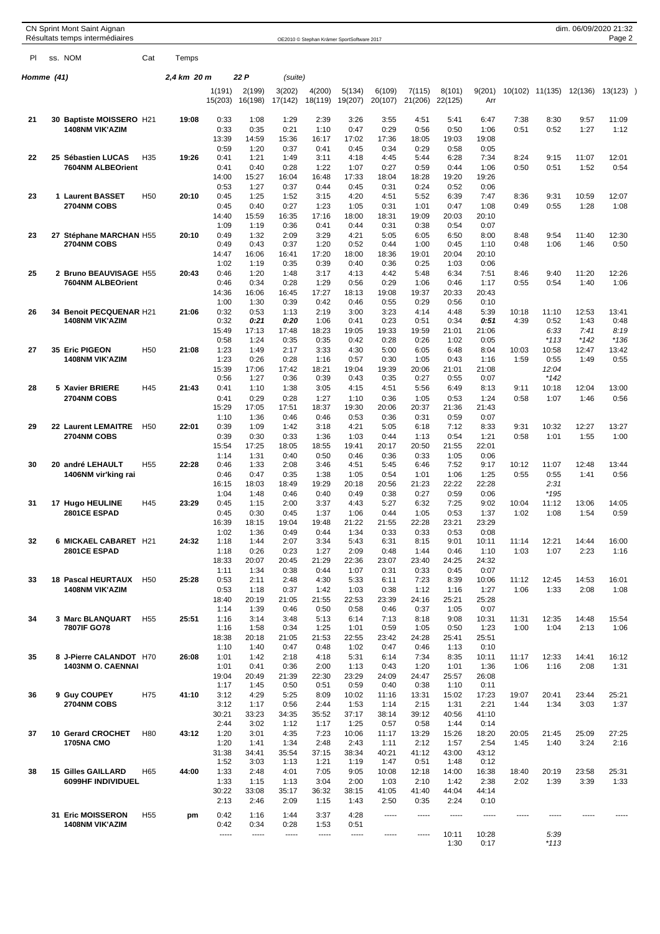|            | Résultats temps intermédiaires                    |                 |             |                   |                   |                   | OE2010 © Stephan Krämer SportSoftware 2017 |                   |                   |                   |                   |               |               |                 |               | Page 2        |  |
|------------|---------------------------------------------------|-----------------|-------------|-------------------|-------------------|-------------------|--------------------------------------------|-------------------|-------------------|-------------------|-------------------|---------------|---------------|-----------------|---------------|---------------|--|
| PI.        | ss. NOM                                           | Cat             | Temps       |                   |                   |                   |                                            |                   |                   |                   |                   |               |               |                 |               |               |  |
| Homme (41) |                                                   |                 | 2,4 km 20 m |                   | 22 P              | (suite)           |                                            |                   |                   |                   |                   |               |               |                 |               |               |  |
|            |                                                   |                 |             | 1(191)<br>15(203) | 2(199)<br>16(198) | 3(202)<br>17(142) | 4(200)<br>18(119)                          | 5(134)<br>19(207) | 6(109)<br>20(107) | 7(115)<br>21(206) | 8(101)<br>22(125) | 9(201)<br>Arr |               | 10(102) 11(135) | 12(136)       | 13(123)       |  |
| 21         | 30 Baptiste MOISSERO H21                          |                 | 19:08       | 0:33              | 1:08              | 1:29              | 2:39                                       | 3:26              | 3:55              | 4:51              | 5:41              | 6:47          | 7:38          | 8:30            | 9:57          | 11:09         |  |
|            | <b>1408NM VIK'AZIM</b>                            |                 |             | 0:33              | 0:35              | 0:21              | 1:10                                       | 0:47              | 0:29              | 0:56              | 0:50              | 1:06          | 0:51          | 0:52            | 1:27          | 1:12          |  |
|            |                                                   |                 |             | 13:39<br>0:59     | 14:59<br>1:20     | 15:36<br>0:37     | 16:17<br>0:41                              | 17:02<br>0:45     | 17:36<br>0:34     | 18:05<br>0:29     | 19:03<br>0:58     | 19:08<br>0:05 |               |                 |               |               |  |
| 22         | 25 Sébastien LUCAS                                | H <sub>35</sub> | 19:26       | 0:41              | 1:21              | 1:49              | 3:11                                       | 4:18              | 4:45              | 5:44              | 6:28              | 7:34          | 8:24          | 9:15            | 11:07         | 12:01         |  |
|            | 7604NM ALBEOrient                                 |                 |             | 0:41<br>14:00     | 0:40<br>15:27     | 0:28<br>16:04     | 1:22<br>16:48                              | 1:07<br>17:33     | 0:27<br>18:04     | 0:59<br>18:28     | 0:44<br>19:20     | 1:06<br>19:26 | 0:50          | 0:51            | 1:52          | 0:54          |  |
|            |                                                   |                 |             | 0:53              | 1:27              | 0:37              | 0:44                                       | 0:45              | 0:31              | 0:24              | 0:52              | 0:06          |               |                 |               |               |  |
| 23         | 1 Laurent BASSET                                  | H <sub>50</sub> | 20:10       | 0:45              | 1:25              | 1:52              | 3:15                                       | 4:20              | 4:51              | 5:52              | 6:39              | 7:47          | 8:36          | 9:31            | 10:59         | 12:07         |  |
|            | <b>2704NM COBS</b>                                |                 |             | 0:45<br>14:40     | 0:40<br>15:59     | 0:27<br>16:35     | 1:23<br>17:16                              | 1:05<br>18:00     | 0:31<br>18:31     | 1:01<br>19:09     | 0:47<br>20:03     | 1:08<br>20:10 | 0:49          | 0:55            | 1:28          | 1:08          |  |
|            |                                                   |                 |             | 1:09              | 1:19              | 0:36              | 0:41                                       | 0:44              | 0:31              | 0:38              | 0:54              | 0:07          |               |                 |               |               |  |
| 23         | 27 Stéphane MARCHAN H55                           |                 | 20:10       | 0:49              | 1:32              | 2:09              | 3:29                                       | 4:21              | 5:05              | 6:05              | 6:50              | 8:00          | 8:48          | 9:54            | 11:40         | 12:30         |  |
|            | 2704NM COBS                                       |                 |             | 0:49<br>14:47     | 0:43<br>16:06     | 0:37<br>16:41     | 1:20<br>17:20                              | 0:52<br>18:00     | 0:44<br>18:36     | 1:00<br>19:01     | 0:45<br>20:04     | 1:10<br>20:10 | 0:48          | 1:06            | 1:46          | 0:50          |  |
|            |                                                   |                 |             | 1:02              | 1:19              | 0:35              | 0:39                                       | 0:40              | 0:36              | 0:25              | 1:03              | 0:06          |               |                 |               |               |  |
| 25         | 2 Bruno BEAUVISAGE H55                            |                 | 20:43       | 0:46<br>0:46      | 1:20              | 1:48              | 3:17                                       | 4:13              | 4:42<br>0:29      | 5:48<br>1:06      | 6:34<br>0:46      | 7:51          | 8:46<br>0:55  | 9:40<br>0:54    | 11:20<br>1:40 | 12:26<br>1:06 |  |
|            | 7604NM ALBEOrient                                 |                 |             | 14:36             | 0:34<br>16:06     | 0:28<br>16:45     | 1:29<br>17:27                              | 0:56<br>18:13     | 19:08             | 19:37             | 20:33             | 1:17<br>20:43 |               |                 |               |               |  |
|            |                                                   |                 |             | 1:00              | 1:30              | 0:39              | 0:42                                       | 0:46              | 0:55              | 0:29              | 0:56              | 0:10          |               |                 |               |               |  |
| 26         | 34 Benoit PECQUENAR H21<br><b>1408NM VIK'AZIM</b> |                 | 21:06       | 0:32<br>0:32      | 0:53<br>0:21      | 1:13<br>0:20      | 2:19<br>1:06                               | 3:00<br>0:41      | 3:23<br>0:23      | 4:14<br>0:51      | 4:48<br>0:34      | 5:39<br>0:51  | 10:18<br>4:39 | 11:10<br>0:52   | 12:53<br>1:43 | 13:41<br>0:48 |  |
|            |                                                   |                 |             | 15:49             | 17:13             | 17:48             | 18:23                                      | 19:05             | 19:33             | 19:59             | 21:01             | 21:06         |               | 6:33            | 7:41          | 8:19          |  |
|            |                                                   |                 |             | 0:58              | 1:24              | 0:35              | 0:35                                       | 0:42              | 0:28              | 0:26              | 1:02              | 0:05          |               | $*113$          | $*142$        | $*136$        |  |
| 27         | 35 Eric PIGEON<br><b>1408NM VIK'AZIM</b>          | H <sub>50</sub> | 21:08       | 1:23<br>1:23      | 1:49<br>0:26      | 2:17<br>0:28      | 3:33<br>1:16                               | 4:30<br>0:57      | 5:00<br>0:30      | 6:05<br>1:05      | 6:48<br>0:43      | 8:04<br>1:16  | 10:03<br>1:59 | 10:58<br>0:55   | 12:47<br>1:49 | 13:42<br>0:55 |  |
|            |                                                   |                 |             | 15:39             | 17:06             | 17:42             | 18:21                                      | 19:04             | 19:39             | 20:06             | 21:01             | 21:08         |               | 12:04           |               |               |  |
|            |                                                   |                 |             | 0:56              | 1:27              | 0:36              | 0:39                                       | 0:43              | 0:35              | 0:27              | 0:55              | 0:07          |               | $*142$          |               |               |  |
| 28         | 5 Xavier BRIERE<br>2704NM COBS                    | H45             | 21:43       | 0:41<br>0:41      | 1:10<br>0:29      | 1:38<br>0:28      | 3:05<br>1:27                               | 4:15<br>1:10      | 4:51<br>0:36      | 5:56<br>1:05      | 6:49<br>0:53      | 8:13<br>1:24  | 9:11<br>0:58  | 10:18<br>1:07   | 12:04<br>1:46 | 13:00<br>0:56 |  |
|            |                                                   |                 |             | 15:29             | 17:05             | 17:51             | 18:37                                      | 19:30             | 20:06             | 20:37             | 21:36             | 21:43         |               |                 |               |               |  |
|            |                                                   |                 |             | 1:10              | 1:36              | 0:46              | 0:46                                       | 0:53              | 0:36              | 0:31              | 0:59              | 0:07          |               |                 |               |               |  |
| 29         | 22 Laurent LEMAITRE<br>2704NM COBS                | H <sub>50</sub> | 22:01       | 0:39<br>0:39      | 1:09<br>0:30      | 1:42<br>0:33      | 3:18<br>1:36                               | 4:21<br>1:03      | 5:05<br>0:44      | 6:18<br>1:13      | 7:12<br>0:54      | 8:33<br>1:21  | 9:31<br>0:58  | 10:32<br>1:01   | 12:27<br>1:55 | 13:27<br>1:00 |  |
|            |                                                   |                 |             | 15:54             | 17:25             | 18:05             | 18:55                                      | 19:41             | 20:17             | 20:50             | 21:55             | 22:01         |               |                 |               |               |  |
|            |                                                   |                 |             | 1:14              | 1:31              | 0:40              | 0:50                                       | 0:46              | 0:36              | 0:33              | 1:05              | 0:06          |               |                 |               |               |  |
| 30         | 20 andré LEHAULT<br>1406NM vir'king rai           | H <sub>55</sub> | 22:28       | 0:46<br>0:46      | 1:33<br>0:47      | 2:08<br>0:35      | 3:46<br>1:38                               | 4:51<br>1:05      | 5:45<br>0:54      | 6:46<br>1:01      | 7:52<br>1:06      | 9:17<br>1:25  | 10:12<br>0:55 | 11:07<br>0:55   | 12:48<br>1:41 | 13:44<br>0:56 |  |
|            |                                                   |                 |             | 16:15             | 18:03             | 18:49             | 19:29                                      | 20:18             | 20:56             | 21:23             | 22:22             | 22:28         |               | 2:31            |               |               |  |
|            |                                                   | H45             | 23:29       | 1:04              | 1:48              | 0:46              | 0:40                                       | 0:49              | 0:38<br>5:27      | 0:27<br>6:32      | 0:59<br>7:25      | 0:06<br>9:02  |               | $*195$          |               |               |  |
| 31         | <b>17 Hugo HEULINE</b><br><b>2801CE ESPAD</b>     |                 |             | 0:45<br>0:45      | 1:15<br>0:30      | 2:00<br>0:45      | 3:37<br>1:37                               | 4:43<br>1:06      | 0:44              | 1:05              | 0:53              | 1:37          | 10:04<br>1:02 | 11:12<br>1:08   | 13:06<br>1:54 | 14:05<br>0:59 |  |
|            |                                                   |                 |             | 16:39             | 18:15             | 19:04             | 19:48                                      | 21:22             | 21:55             | 22:28             | 23:21             | 23:29         |               |                 |               |               |  |
| 32         | <b>6 MICKAEL CABARET H21</b>                      |                 | 24:32       | 1:02<br>1:18      | 1:36<br>1:44      | 0:49<br>2:07      | 0:44<br>3:34                               | 1:34<br>5:43      | 0:33<br>6:31      | 0:33<br>8:15      | 0:53<br>9:01      | 0:08<br>10:11 | 11:14         | 12:21           | 14:44         | 16:00         |  |
|            | <b>2801CE ESPAD</b>                               |                 |             | 1:18              | 0:26              | 0:23              | 1:27                                       | 2:09              | 0:48              | 1:44              | 0:46              | 1:10          | 1:03          | 1:07            | 2:23          | 1:16          |  |
|            |                                                   |                 |             | 18:33             | 20:07             | 20:45             | 21:29                                      | 22:36             | 23:07             | 23:40             | 24:25             | 24:32         |               |                 |               |               |  |
| 33         | <b>18 Pascal HEURTAUX</b>                         | H <sub>50</sub> | 25:28       | 1:11<br>0:53      | 1:34<br>2:11      | 0:38<br>2:48      | 0:44<br>4:30                               | 1:07<br>5:33      | 0:31<br>6:11      | 0:33<br>7:23      | 0:45<br>8:39      | 0:07<br>10:06 | 11:12         | 12:45           | 14:53         | 16:01         |  |
|            | 1408NM VIK'AZIM                                   |                 |             | 0:53              | 1:18              | 0:37              | 1:42                                       | 1:03              | 0:38              | 1:12              | 1:16              | 1:27          | 1:06          | 1:33            | 2:08          | 1:08          |  |
|            |                                                   |                 |             | 18:40             | 20:19             | 21:05             | 21:55                                      | 22:53             | 23:39             | 24:16             | 25:21             | 25:28         |               |                 |               |               |  |
| 34         | 3 Marc BLANQUART                                  | H <sub>55</sub> | 25:51       | 1:14<br>1:16      | 1:39<br>3:14      | 0:46<br>3:48      | 0:50<br>5:13                               | 0:58<br>6:14      | 0:46<br>7:13      | 0:37<br>8:18      | 1:05<br>9:08      | 0:07<br>10:31 | 11:31         | 12:35           | 14:48         | 15:54         |  |
|            | 7807IF GO78                                       |                 |             | 1:16              | 1:58              | 0:34              | 1:25                                       | 1:01              | 0:59              | 1:05              | 0:50              | 1:23          | 1:00          | 1:04            | 2:13          | 1:06          |  |
|            |                                                   |                 |             | 18:38<br>1:10     | 20:18<br>1:40     | 21:05<br>0:47     | 21:53<br>0:48                              | 22:55<br>1:02     | 23:42<br>0:47     | 24:28<br>0:46     | 25:41<br>1:13     | 25:51<br>0:10 |               |                 |               |               |  |
| 35         | 8 J-Pierre CALANDOT H70                           |                 | 26:08       | 1:01              | 1:42              | 2:18              | 4:18                                       | 5:31              | 6:14              | 7:34              | 8:35              | 10:11         | 11:17         | 12:33           | 14:41         | 16:12         |  |
|            | 1403NM O. CAENNAI                                 |                 |             | 1:01              | 0:41              | 0:36              | 2:00                                       | 1:13              | 0:43              | 1:20              | 1:01              | 1:36          | 1:06          | 1:16            | 2:08          | 1:31          |  |
|            |                                                   |                 |             | 19:04<br>1:17     | 20:49<br>1:45     | 21:39<br>0:50     | 22:30<br>0:51                              | 23:29<br>0:59     | 24:09<br>0:40     | 24:47<br>0:38     | 25:57<br>1:10     | 26:08<br>0:11 |               |                 |               |               |  |
| 36         | 9 Guy COUPEY                                      | H75             | 41:10       | 3:12              | 4:29              | 5:25              | 8:09                                       | 10:02             | 11:16             | 13:31             | 15:02             | 17:23         | 19:07         | 20:41           | 23:44         | 25:21         |  |
|            | 2704NM COBS                                       |                 |             | 3:12              | 1:17              | 0:56              | 2:44                                       | 1:53              | 1:14              | 2:15              | 1:31              | 2:21          | 1:44          | 1:34            | 3:03          | 1:37          |  |
|            |                                                   |                 |             | 30:21<br>2:44     | 33:23<br>3:02     | 34:35<br>1:12     | 35:52<br>1:17                              | 37:17<br>1:25     | 38:14<br>0:57     | 39:12<br>0:58     | 40:56<br>1:44     | 41:10<br>0:14 |               |                 |               |               |  |
| 37         | 10 Gerard CROCHET                                 | H80             | 43:12       | 1:20              | 3:01              | 4:35              | 7:23                                       | 10:06             | 11:17             | 13:29             | 15:26             | 18:20         | 20:05         | 21:45           | 25:09         | 27:25         |  |
|            | <b>1705NA CMO</b>                                 |                 |             | 1:20              | 1:41              | 1:34              | 2:48                                       | 2:43              | 1:11              | 2:12              | 1:57              | 2:54          | 1:45          | 1:40            | 3:24          | 2:16          |  |
|            |                                                   |                 |             | 31:38<br>1:52     | 34:41<br>3:03     | 35:54<br>1:13     | 37:15<br>1:21                              | 38:34<br>1:19     | 40:21<br>1:47     | 41:12<br>0:51     | 43:00<br>1:48     | 43:12<br>0:12 |               |                 |               |               |  |
| 38         | <b>15 Gilles GAILLARD</b>                         | H65             | 44:00       | 1:33              | 2:48              | 4:01              | 7:05                                       | 9:05              | 10:08             | 12:18             | 14:00             | 16:38         | 18:40         | 20:19           | 23:58         | 25:31         |  |
|            | 6099HF INDIVIDUEL                                 |                 |             | 1:33<br>30:22     | 1:15              | 1:13              | 3:04<br>36:32                              | 2:00              | 1:03<br>41:05     | 2:10<br>41:40     | 1:42<br>44:04     | 2:38<br>44:14 | 2:02          | 1:39            | 3:39          | 1:33          |  |
|            |                                                   |                 |             | 2:13              | 33:08<br>2:46     | 35:17<br>2:09     | 1:15                                       | 38:15<br>1:43     | 2:50              | 0:35              | 2:24              | 0:10          |               |                 |               |               |  |
|            | 31 Eric MOISSERON                                 | H <sub>55</sub> | pm          | 0:42              | 1:16              | 1:44              | 3:37                                       | 4:28              | -----             | $- - - - -$       | -----             | -----         | -----         |                 |               |               |  |
|            | <b>1408NM VIK'AZIM</b>                            |                 |             | 0:42              | 0:34              | 0:28              | 1:53                                       | 0:51              |                   |                   |                   |               |               |                 |               |               |  |
|            |                                                   |                 |             | -----             | 1.1.1.1           | -----             | -----                                      | -----             | -----             | -----             | 10:11<br>1:30     | 10:28<br>0:17 |               | 5:39<br>$*113$  |               |               |  |
|            |                                                   |                 |             |                   |                   |                   |                                            |                   |                   |                   |                   |               |               |                 |               |               |  |

CN Sprint Mont Saint Aignan dim. 06/09/2020 21:32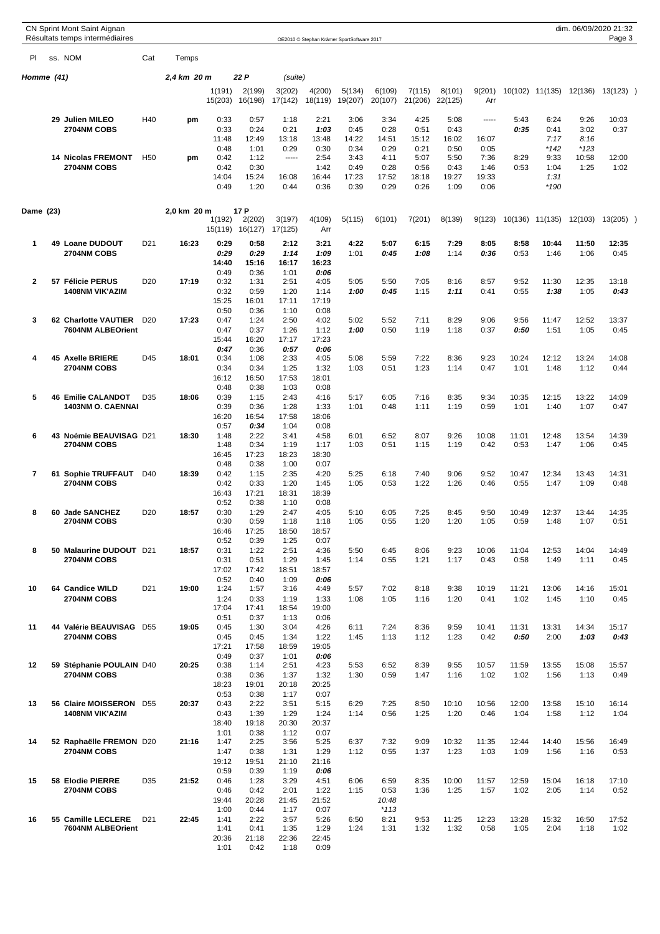|             |    | CN Sprint Mont Saint Aignan<br>Résultats temps intermédiaires |                 |             |               |               |               |               |                                            |                 |               |               |               |               |               | dim. 06/09/2020 21:32 | Page 3        |  |
|-------------|----|---------------------------------------------------------------|-----------------|-------------|---------------|---------------|---------------|---------------|--------------------------------------------|-----------------|---------------|---------------|---------------|---------------|---------------|-----------------------|---------------|--|
| PI          |    | ss. NOM                                                       | Cat             | Temps       |               |               |               |               | OE2010 © Stephan Krämer SportSoftware 2017 |                 |               |               |               |               |               |                       |               |  |
| Homme (41)  |    |                                                               |                 | 2,4 km 20 m |               | 22 P          | (suite)       |               |                                            |                 |               |               |               |               |               |                       |               |  |
|             |    |                                                               |                 |             | 1(191)        | 2(199)        | 3(202)        | 4(200)        | 5(134)                                     | 6(109)          | 7(115)        | 8(101)        | 9(201)        | 10(102)       | 11(135)       | 12(136)               | $13(123)$ )   |  |
|             |    |                                                               |                 |             | 15(203)       | 16(198)       | 17(142)       | 18(119)       | 19(207)                                    | 20(107)         | 21(206)       | 22(125)       | Arr           |               |               |                       |               |  |
|             |    | 29 Julien MILEO                                               | H40             | pm          | 0:33          | 0:57          | 1:18          | 2:21          | 3:06                                       | 3:34            | 4:25          | 5:08          | 1.1111        | 5:43          | 6:24          | 9:26                  | 10:03         |  |
|             |    | <b>2704NM COBS</b>                                            |                 |             | 0:33<br>11:48 | 0:24<br>12:49 | 0:21<br>13:18 | 1:03<br>13:48 | 0:45<br>14:22                              | 0:28<br>14:51   | 0:51<br>15:12 | 0:43<br>16:02 | 16:07         | 0:35          | 0:41<br>7:17  | 3:02<br>8:16          | 0:37          |  |
|             |    |                                                               |                 |             | 0:48          | 1:01          | 0:29          | 0:30          | 0:34                                       | 0:29            | 0:21          | 0:50          | 0:05          |               | $*142$        | $*123$                |               |  |
|             |    | <b>14 Nicolas FREMONT</b><br>2704NM COBS                      | H <sub>50</sub> | pm          | 0:42          | 1:12          | 1.1111        | 2:54          | 3:43                                       | 4:11            | 5:07          | 5:50          | 7:36          | 8:29          | 9:33          | 10:58                 | 12:00         |  |
|             |    |                                                               |                 |             | 0:42<br>14:04 | 0:30<br>15:24 | 16:08         | 1:42<br>16:44 | 0:49<br>17:23                              | 0:28<br>17:52   | 0:56<br>18:18 | 0:43<br>19:27 | 1:46<br>19:33 | 0:53          | 1:04<br>1:31  | 1:25                  | 1:02          |  |
|             |    |                                                               |                 |             | 0:49          | 1:20          | 0:44          | 0:36          | 0:39                                       | 0:29            | 0:26          | 1:09          | 0:06          |               | $*190$        |                       |               |  |
| Dame (23)   |    |                                                               |                 | 2,0 km 20 m |               | 17 P          |               |               |                                            |                 |               |               |               |               |               |                       |               |  |
|             |    |                                                               |                 |             | 1(192)        | 2(202)        | 3(197)        | 4(109)        | 5(115)                                     | 6(101)          | 7(201)        | 8(139)        | 9(123)        | 10(136)       | 11(135)       | 12(103)               | $13(205)$ )   |  |
|             |    |                                                               |                 |             | 15(119)       | 16(127)       | 17(125)       | Arr           |                                            |                 |               |               |               |               |               |                       |               |  |
| $\mathbf 1$ |    | 49 Loane DUDOUT<br>2704NM COBS                                | D <sub>21</sub> | 16:23       | 0:29<br>0:29  | 0:58<br>0:29  | 2:12<br>1:14  | 3:21<br>1:09  | 4:22<br>1:01                               | 5:07<br>0:45    | 6:15<br>1:08  | 7:29<br>1:14  | 8:05<br>0:36  | 8:58<br>0:53  | 10:44<br>1:46 | 11:50<br>1:06         | 12:35<br>0:45 |  |
|             |    |                                                               |                 |             | 14:40         | 15:16         | 16:17         | 16:23         |                                            |                 |               |               |               |               |               |                       |               |  |
| 2           |    | 57 Félicie PERUS                                              | D <sub>20</sub> | 17:19       | 0:49<br>0:32  | 0:36<br>1:31  | 1:01<br>2:51  | 0:06<br>4:05  | 5:05                                       | 5:50            | 7:05          | 8:16          | 8:57          | 9:52          | 11:30         | 12:35                 | 13:18         |  |
|             |    | <b>1408NM VIK'AZIM</b>                                        |                 |             | 0:32          | 0:59          | 1:20          | 1:14          | 1:00                                       | 0:45            | 1:15          | 1:11          | 0:41          | 0:55          | 1:38          | 1:05                  | 0:43          |  |
|             |    |                                                               |                 |             | 15:25<br>0:50 | 16:01<br>0:36 | 17:11<br>1:10 | 17:19<br>0:08 |                                            |                 |               |               |               |               |               |                       |               |  |
| 3           |    | 62 Charlotte VAUTIER                                          | D <sub>20</sub> | 17:23       | 0:47          | 1:24          | 2:50          | 4:02          | 5:02                                       | 5:52            | 7:11          | 8:29          | 9:06          | 9:56          | 11:47         | 12:52                 | 13:37         |  |
|             |    | 7604NM ALBEOrient                                             |                 |             | 0:47<br>15:44 | 0:37<br>16:20 | 1:26<br>17:17 | 1:12<br>17:23 | 1:00                                       | 0:50            | 1:19          | 1:18          | 0:37          | 0:50          | 1:51          | 1:05                  | 0:45          |  |
|             |    |                                                               |                 |             | 0:47          | 0:36          | 0:57          | 0:06          |                                            |                 |               |               |               |               |               |                       |               |  |
| 4           |    | <b>45 Axelle BRIERE</b>                                       | D45             | 18:01       | 0:34          | 1:08          | 2:33          | 4:05          | 5:08                                       | 5:59            | 7:22          | 8:36          | 9:23          | 10:24         | 12:12         | 13:24                 | 14:08         |  |
|             |    | <b>2704NM COBS</b>                                            |                 |             | 0:34<br>16:12 | 0:34<br>16:50 | 1:25<br>17:53 | 1:32<br>18:01 | 1:03                                       | 0:51            | 1:23          | 1:14          | 0:47          | 1:01          | 1:48          | 1:12                  | 0:44          |  |
|             |    |                                                               |                 |             | 0:48          | 0:38          | 1:03          | 0:08          |                                            |                 |               |               |               |               |               |                       |               |  |
| 5           |    | <b>46 Emilie CALANDOT</b><br><b>1403NM O. CAENNAI</b>         | D35             | 18:06       | 0:39<br>0:39  | 1:15<br>0:36  | 2:43<br>1:28  | 4:16<br>1:33  | 5:17<br>1:01                               | 6:05<br>0:48    | 7:16<br>1:11  | 8:35<br>1:19  | 9:34<br>0:59  | 10:35<br>1:01 | 12:15<br>1:40 | 13:22<br>1:07         | 14:09<br>0:47 |  |
|             |    |                                                               |                 |             | 16:20         | 16:54         | 17:58         | 18:06         |                                            |                 |               |               |               |               |               |                       |               |  |
| 6           |    | 43 Noémie BEAUVISAG D21                                       |                 | 18:30       | 0:57<br>1:48  | 0:34<br>2:22  | 1:04<br>3:41  | 0:08<br>4:58  | 6:01                                       | 6:52            | 8:07          | 9:26          | 10:08         | 11:01         | 12:48         | 13:54                 | 14:39         |  |
|             |    | <b>2704NM COBS</b>                                            |                 |             | 1:48          | 0:34          | 1:19          | 1:17          | 1:03                                       | 0:51            | 1:15          | 1:19          | 0:42          | 0:53          | 1:47          | 1:06                  | 0:45          |  |
|             |    |                                                               |                 |             | 16:45         | 17:23         | 18:23         | 18:30         |                                            |                 |               |               |               |               |               |                       |               |  |
| 7           | 61 | <b>Sophie TRUFFAUT</b>                                        | D40             | 18:39       | 0:48<br>0:42  | 0:38<br>1:15  | 1:00<br>2:35  | 0:07<br>4:20  | 5:25                                       | 6:18            | 7:40          | 9:06          | 9:52          | 10:47         | 12:34         | 13:43                 | 14:31         |  |
|             |    | 2704NM COBS                                                   |                 |             | 0:42          | 0:33          | 1:20          | 1:45          | 1:05                                       | 0:53            | 1:22          | 1:26          | 0:46          | 0:55          | 1:47          | 1:09                  | 0:48          |  |
|             |    |                                                               |                 |             | 16:43<br>0:52 | 17:21<br>0:38 | 18:31<br>1:10 | 18:39<br>0:08 |                                            |                 |               |               |               |               |               |                       |               |  |
| 8           | 60 | <b>Jade SANCHEZ</b>                                           | D <sub>20</sub> | 18:57       | 0:30          | 1:29          | 2:47          | 4:05          | 5:10                                       | 6:05            | 7:25          | 8:45          | 9:50          | 10:49         | 12:37         | 13:44                 | 14:35         |  |
|             |    | 2704NM COBS                                                   |                 |             | 0:30<br>16:46 | 0:59<br>17:25 | 1:18<br>18:50 | 1:18<br>18:57 | 1:05                                       | 0:55            | 1:20          | 1:20          | 1:05          | 0:59          | 1:48          | 1:07                  | 0:51          |  |
|             |    |                                                               |                 |             | 0:52          | 0:39          | 1:25          | 0:07          |                                            |                 |               |               |               |               |               |                       |               |  |
| 8           |    | 50 Malaurine DUDOUT D21<br>2704NM COBS                        |                 | 18:57       | 0:31<br>0:31  | 1:22<br>0:51  | 2:51<br>1:29  | 4:36<br>1:45  | 5:50<br>1:14                               | 6:45<br>0:55    | 8:06<br>1:21  | 9:23<br>1:17  | 10:06<br>0:43 | 11:04<br>0:58 | 12:53<br>1:49 | 14:04<br>1:11         | 14:49<br>0:45 |  |
|             |    |                                                               |                 |             | 17:02         | 17:42         | 18:51         | 18:57         |                                            |                 |               |               |               |               |               |                       |               |  |
| 10          |    | 64 Candice WILD                                               | D <sub>21</sub> | 19:00       | 0:52<br>1:24  | 0:40<br>1:57  | 1:09<br>3:16  | 0:06<br>4:49  | 5:57                                       | 7:02            | 8:18          | 9:38          | 10:19         | 11:21         | 13:06         | 14:16                 | 15:01         |  |
|             |    | 2704NM COBS                                                   |                 |             | 1:24          | 0:33          | 1:19          | 1:33          | 1:08                                       | 1:05            | 1:16          | 1:20          | 0:41          | 1:02          | 1:45          | 1:10                  | 0:45          |  |
|             |    |                                                               |                 |             | 17:04<br>0:51 | 17:41<br>0:37 | 18:54         | 19:00         |                                            |                 |               |               |               |               |               |                       |               |  |
| 11          |    | 44 Valérie BEAUVISAG                                          | D <sub>55</sub> | 19:05       | 0:45          | 1:30          | 1:13<br>3:04  | 0:06<br>4:26  | 6:11                                       | 7:24            | 8:36          | 9:59          | 10:41         | 11:31         | 13:31         | 14:34                 | 15:17         |  |
|             |    | 2704NM COBS                                                   |                 |             | 0:45          | 0:45          | 1:34          | 1:22          | 1:45                                       | 1:13            | 1:12          | 1:23          | 0:42          | 0:50          | 2:00          | 1:03                  | 0:43          |  |
|             |    |                                                               |                 |             | 17:21<br>0:49 | 17:58<br>0:37 | 18:59<br>1:01 | 19:05<br>0:06 |                                            |                 |               |               |               |               |               |                       |               |  |
| 12          |    | 59 Stéphanie POULAIN D40                                      |                 | 20:25       | 0:38          | 1:14          | 2:51          | 4:23          | 5:53                                       | 6:52            | 8:39          | 9:55          | 10:57         | 11:59         | 13:55         | 15:08                 | 15:57         |  |
|             |    | 2704NM COBS                                                   |                 |             | 0:38<br>18:23 | 0:36<br>19:01 | 1:37<br>20:18 | 1:32<br>20:25 | 1:30                                       | 0:59            | 1:47          | 1:16          | 1:02          | 1:02          | 1:56          | 1:13                  | 0:49          |  |
|             |    |                                                               |                 |             | 0:53          | 0:38          | 1:17          | 0:07          |                                            |                 |               |               |               |               |               |                       |               |  |
| 13          |    | 56 Claire MOISSERON D55<br>1408NM VIK'AZIM                    |                 | 20:37       | 0:43<br>0:43  | 2:22<br>1:39  | 3:51<br>1:29  | 5:15<br>1:24  | 6:29<br>1:14                               | 7:25<br>0:56    | 8:50<br>1:25  | 10:10<br>1:20 | 10:56<br>0:46 | 12:00<br>1:04 | 13:58<br>1:58 | 15:10<br>1:12         | 16:14<br>1:04 |  |
|             |    |                                                               |                 |             | 18:40         | 19:18         | 20:30         | 20:37         |                                            |                 |               |               |               |               |               |                       |               |  |
| 14          |    | 52 Raphaëlle FREMON D20                                       |                 | 21:16       | 1:01<br>1:47  | 0:38<br>2:25  | 1:12<br>3:56  | 0:07<br>5:25  | 6:37                                       | 7:32            | 9:09          | 10:32         | 11:35         | 12:44         | 14:40         | 15:56                 | 16:49         |  |
|             |    | 2704NM COBS                                                   |                 |             | 1:47          | 0:38          | 1:31          | 1:29          | 1:12                                       | 0:55            | 1:37          | 1:23          | 1:03          | 1:09          | 1:56          | 1:16                  | 0:53          |  |
|             |    |                                                               |                 |             | 19:12         | 19:51         | 21:10         | 21:16         |                                            |                 |               |               |               |               |               |                       |               |  |
| 15          |    | 58 Elodie PIERRE                                              | D35             | 21:52       | 0:59<br>0:46  | 0:39<br>1:28  | 1:19<br>3:29  | 0:06<br>4:51  | 6:06                                       | 6:59            | 8:35          | 10:00         | 11:57         | 12:59         | 15:04         | 16:18                 | 17:10         |  |
|             |    | 2704NM COBS                                                   |                 |             | 0:46          | 0:42          | 2:01          | 1:22          | 1:15                                       | 0:53            | 1:36          | 1:25          | 1:57          | 1:02          | 2:05          | 1:14                  | 0:52          |  |
|             |    |                                                               |                 |             | 19:44<br>1:00 | 20:28<br>0:44 | 21:45<br>1:17 | 21:52<br>0:07 |                                            | 10:48<br>$*113$ |               |               |               |               |               |                       |               |  |
| 16          |    | 55 Camille LECLERE                                            | D <sub>21</sub> | 22:45       | 1:41          | 2:22          | 3:57          | 5:26          | 6:50                                       | 8:21            | 9:53          | 11:25         | 12:23         | 13:28         | 15:32         | 16:50                 | 17:52         |  |
|             |    | 7604NM ALBEOrient                                             |                 |             | 1:41<br>20:36 | 0:41<br>21:18 | 1:35<br>22:36 | 1:29<br>22:45 | 1:24                                       | 1:31            | 1:32          | 1:32          | 0:58          | 1:05          | 2:04          | 1:18                  | 1:02          |  |
|             |    |                                                               |                 |             | 1:01          | 0:42          | 1:18          | 0:09          |                                            |                 |               |               |               |               |               |                       |               |  |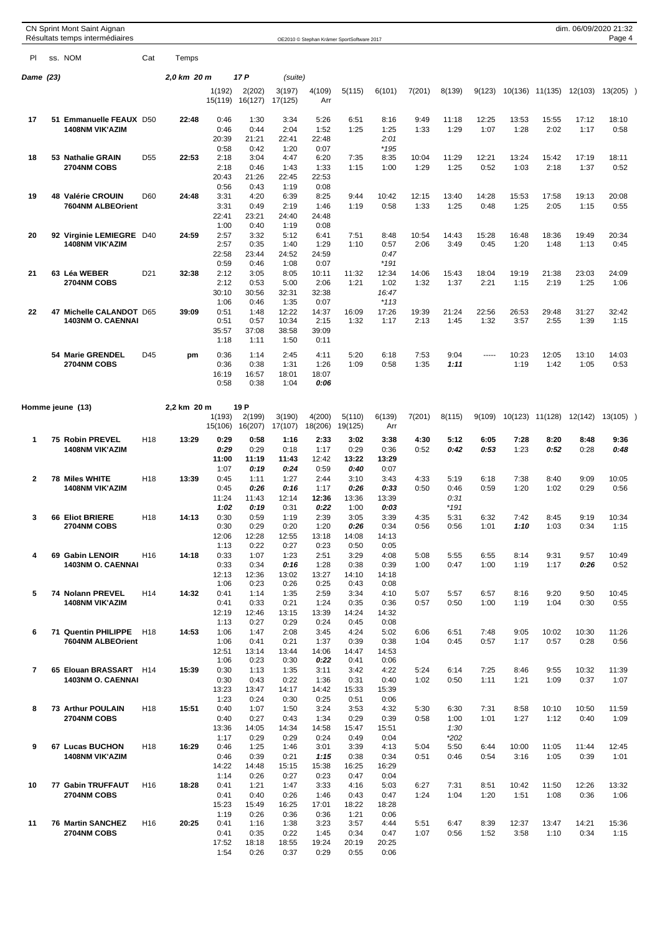|                |    | CN Sprint Mont Saint Aignan<br>Résultats temps intermédiaires |                 |             |                   |                   |                   |               | OE2010 © Stephan Krämer SportSoftware 2017 |               |               |                |               |               |               |               | dim. 06/09/2020 21:32<br>Page 4 |  |
|----------------|----|---------------------------------------------------------------|-----------------|-------------|-------------------|-------------------|-------------------|---------------|--------------------------------------------|---------------|---------------|----------------|---------------|---------------|---------------|---------------|---------------------------------|--|
| PI             |    | ss. NOM                                                       | Cat             | Temps       |                   |                   |                   |               |                                            |               |               |                |               |               |               |               |                                 |  |
| Dame (23)      |    |                                                               |                 | 2,0 km 20 m |                   | 17 P              | (suite)           |               |                                            |               |               |                |               |               |               |               |                                 |  |
|                |    |                                                               |                 |             | 1(192)<br>15(119) | 2(202)<br>16(127) | 3(197)<br>17(125) | 4(109)<br>Arr | 5(115)                                     | 6(101)        | 7(201)        | 8(139)         | 9(123)        | 10(136)       | 11(135)       | 12(103)       | $13(205)$ )                     |  |
| 17             |    | 51 Emmanuelle FEAUX D50                                       |                 | 22:48       | 0:46              | 1:30              | 3:34              | 5:26          | 6:51                                       | 8:16          | 9:49          | 11:18          | 12:25         | 13:53         | 15:55         | 17:12         | 18:10                           |  |
|                |    | <b>1408NM VIK'AZIM</b>                                        |                 |             | 0:46<br>20:39     | 0:44<br>21:21     | 2:04<br>22:41     | 1:52<br>22:48 | 1:25                                       | 1:25<br>2:01  | 1:33          | 1:29           | 1:07          | 1:28          | 2:02          | 1:17          | 0:58                            |  |
|                |    |                                                               |                 |             | 0:58              | 0:42              | 1:20              | 0:07          |                                            | $*195$        |               |                |               |               |               |               |                                 |  |
| 18             |    | 53 Nathalie GRAIN                                             | D <sub>55</sub> | 22:53       | 2:18              | 3:04              | 4:47              | 6:20          | 7:35                                       | 8:35          | 10:04         | 11:29          | 12:21         | 13:24         | 15:42         | 17:19         | 18:11                           |  |
|                |    | <b>2704NM COBS</b>                                            |                 |             | 2:18<br>20:43     | 0:46<br>21:26     | 1:43<br>22:45     | 1:33<br>22:53 | 1:15                                       | 1:00          | 1:29          | 1:25           | 0:52          | 1:03          | 2:18          | 1:37          | 0:52                            |  |
|                |    |                                                               |                 |             | 0:56              | 0:43              | 1:19              | 0:08          |                                            |               |               |                |               |               |               |               |                                 |  |
| 19             |    | 48 Valérie CROUIN                                             | D <sub>60</sub> | 24:48       | 3:31              | 4:20              | 6:39              | 8:25          | 9:44                                       | 10:42         | 12:15         | 13:40          | 14:28         | 15:53         | 17:58         | 19:13         | 20:08                           |  |
|                |    | 7604NM ALBEOrient                                             |                 |             | 3:31<br>22:41     | 0:49<br>23:21     | 2:19<br>24:40     | 1:46<br>24:48 | 1:19                                       | 0:58          | 1:33          | 1:25           | 0:48          | 1:25          | 2:05          | 1:15          | 0:55                            |  |
|                |    |                                                               |                 |             | 1:00              | 0:40              | 1:19              | 0:08          |                                            |               |               |                |               |               |               |               |                                 |  |
| 20             |    | 92 Virginie LEMIEGRE D40<br><b>1408NM VIK'AZIM</b>            |                 | 24:59       | 2:57              | 3:32              | 5:12              | 6:41          | 7:51                                       | 8:48          | 10:54         | 14:43          | 15:28         | 16:48         | 18:36         | 19:49         | 20:34                           |  |
|                |    |                                                               |                 |             | 2:57<br>22:58     | 0:35<br>23:44     | 1:40<br>24:52     | 1:29<br>24:59 | 1:10                                       | 0:57<br>0:47  | 2:06          | 3:49           | 0:45          | 1:20          | 1:48          | 1:13          | 0:45                            |  |
|                |    |                                                               |                 |             | 0:59              | 0:46              | 1:08              | 0:07          |                                            | $*191$        |               |                |               |               |               |               |                                 |  |
| 21             |    | 63 Léa WEBER<br>2704NM COBS                                   | D <sub>21</sub> | 32:38       | 2:12<br>2:12      | 3:05<br>0:53      | 8:05<br>5:00      | 10:11<br>2:06 | 11:32<br>1:21                              | 12:34<br>1:02 | 14:06<br>1:32 | 15:43<br>1:37  | 18:04<br>2:21 | 19:19<br>1:15 | 21:38<br>2:19 | 23:03<br>1:25 | 24:09<br>1:06                   |  |
|                |    |                                                               |                 |             | 30:10             | 30:56             | 32:31             | 32:38         |                                            | 16:47         |               |                |               |               |               |               |                                 |  |
|                |    |                                                               |                 |             | 1:06              | 0:46              | 1:35              | 0:07          |                                            | $*113$        |               |                |               |               |               |               |                                 |  |
| 22             | 47 | <b>Michelle CALANDOT</b><br>1403NM O. CAENNAI                 | D65             | 39:09       | 0:51<br>0:51      | 1:48<br>0:57      | 12:22<br>10:34    | 14:37<br>2:15 | 16:09<br>1:32                              | 17:26<br>1:17 | 19:39<br>2:13 | 21:24<br>1:45  | 22:56<br>1:32 | 26:53<br>3:57 | 29:48<br>2:55 | 31:27<br>1:39 | 32:42<br>1:15                   |  |
|                |    |                                                               |                 |             | 35:57             | 37:08             | 38:58             | 39:09         |                                            |               |               |                |               |               |               |               |                                 |  |
|                |    |                                                               |                 |             | 1:18              | 1:11              | 1:50              | 0:11          |                                            |               |               |                |               |               |               |               |                                 |  |
|                |    | 54 Marie GRENDEL<br>2704NM COBS                               | D45             | pm          | 0:36<br>0:36      | 1:14<br>0:38      | 2:45<br>1:31      | 4:11<br>1:26  | 5:20<br>1:09                               | 6:18<br>0:58  | 7:53<br>1:35  | 9:04<br>1:11   | -----         | 10:23<br>1:19 | 12:05<br>1:42 | 13:10<br>1:05 | 14:03<br>0:53                   |  |
|                |    |                                                               |                 |             | 16:19             | 16:57             | 18:01             | 18:07         |                                            |               |               |                |               |               |               |               |                                 |  |
|                |    |                                                               |                 |             | 0:58              | 0:38              | 1:04              | 0:06          |                                            |               |               |                |               |               |               |               |                                 |  |
|                |    |                                                               |                 |             |                   |                   |                   |               |                                            |               |               |                |               |               |               |               |                                 |  |
|                |    | Homme jeune (13)                                              |                 | 2,2 km 20 m | 1(193)            | 19 P<br>2(199)    | 3(190)            | 4(200)        | 5(110)                                     | 6(139)        | 7(201)        | 8(115)         | 9(109)        | 10(123)       | 11(128)       | 12(142)       | $13(105)$ )                     |  |
|                |    |                                                               |                 |             | 15(106)           | 16(207)           | 17(107)           | 18(206)       | 19(125)                                    | Arr           |               |                |               |               |               |               |                                 |  |
| 1              |    | 75 Robin PREVEL                                               | H <sub>18</sub> | 13:29       | 0:29              | 0:58              | 1:16              | 2:33          | 3:02                                       | 3:38          | 4:30          | 5:12           | 6:05          | 7:28          | 8:20          | 8:48          | 9:36                            |  |
|                |    | <b>1408NM VIK'AZIM</b>                                        |                 |             | 0:29<br>11:00     | 0:29<br>11:19     | 0:18<br>11:43     | 1:17<br>12:42 | 0:29<br>13:22                              | 0:36<br>13:29 | 0:52          | 0:42           | 0:53          | 1:23          | 0:52          | 0:28          | 0:48                            |  |
|                |    |                                                               |                 |             | 1:07              | 0:19              | 0:24              | 0:59          | 0:40                                       | 0:07          |               |                |               |               |               |               |                                 |  |
| 2              |    | 78 Miles WHITE                                                | H <sub>18</sub> | 13:39       | 0:45              | 1:11              | 1:27              | 2:44          | 3:10                                       | 3:43          | 4:33          | 5:19           | 6:18          | 7:38          | 8:40          | 9:09          | 10:05                           |  |
|                |    | <b>1408NM VIK'AZIM</b>                                        |                 |             | 0:45<br>11:24     | 0:26<br>11:43     | 0:16<br>12:14     | 1:17<br>12:36 | 0:26<br>13:36                              | 0:33<br>13:39 | 0:50          | 0:46<br>0:31   | 0:59          | 1:20          | 1:02          | 0:29          | 0:56                            |  |
|                |    |                                                               |                 |             | 1:02              | 0:19              | 0:31              | 0:22          | 1:00                                       | 0:03          |               | *191           |               |               |               |               |                                 |  |
| 3              |    | 66 Eliot BRIERE                                               | H <sub>18</sub> | 14:13       | 0:30<br>0:30      | 0:59<br>0:29      | 1:19<br>0:20      | 2:39<br>1:20  | 3:05<br>0:26                               | 3:39<br>0:34  | 4:35<br>0:56  | 5:31           | 6:32          | 7:42<br>1:10  | 8:45          | 9:19          | 10:34<br>1:15                   |  |
|                |    | <b>2704NM COBS</b>                                            |                 |             | 12:06             | 12:28             | 12:55             | 13:18         | 14:08                                      | 14:13         |               | 0:56           | 1:01          |               | 1:03          | 0:34          |                                 |  |
|                |    |                                                               |                 |             | 1:13              | 0:22              | 0:27              | 0:23          | 0:50                                       | 0:05          |               |                |               |               |               |               |                                 |  |
| 4              |    | 69 Gabin LENOIR<br>1403NM O. CAENNAI                          | H <sub>16</sub> | 14:18       | 0:33<br>0:33      | 1:07<br>0:34      | 1:23<br>0:16      | 2:51<br>1:28  | 3:29<br>0:38                               | 4:08<br>0:39  | 5:08<br>1:00  | 5:55<br>0:47   | 6:55<br>1:00  | 8:14<br>1:19  | 9:31<br>1:17  | 9:57<br>0:26  | 10:49<br>0:52                   |  |
|                |    |                                                               |                 |             | 12:13             | 12:36             | 13:02             | 13:27         | 14:10                                      | 14:18         |               |                |               |               |               |               |                                 |  |
| 5              |    | 74 Nolann PREVEL                                              | H <sub>14</sub> | 14:32       | 1:06<br>0:41      | 0:23<br>1:14      | 0:26<br>1:35      | 0:25<br>2:59  | 0:43<br>3:34                               | 0:08<br>4:10  | 5:07          | 5:57           | 6:57          | 8:16          | 9:20          | 9:50          | 10:45                           |  |
|                |    | <b>1408NM VIK'AZIM</b>                                        |                 |             | 0:41              | 0:33              | 0:21              | 1:24          | 0:35                                       | 0:36          | 0:57          | 0:50           | 1:00          | 1:19          | 1:04          | 0:30          | 0:55                            |  |
|                |    |                                                               |                 |             | 12:19             | 12:46             | 13:15             | 13:39         | 14:24                                      | 14:32         |               |                |               |               |               |               |                                 |  |
| 6              |    | 71 Quentin PHILIPPE                                           | H18             | 14:53       | 1:13<br>1:06      | 0:27<br>1:47      | 0:29<br>2:08      | 0:24<br>3:45  | 0:45<br>4:24                               | 0:08<br>5:02  | 6:06          | 6:51           | 7:48          | 9:05          | 10:02         | 10:30         | 11:26                           |  |
|                |    | 7604NM ALBEOrient                                             |                 |             | 1:06              | 0:41              | 0:21              | 1:37          | 0:39                                       | 0:38          | 1:04          | 0:45           | 0:57          | 1:17          | 0:57          | 0:28          | 0:56                            |  |
|                |    |                                                               |                 |             | 12:51<br>1:06     | 13:14<br>0:23     | 13:44<br>0:30     | 14:06<br>0:22 | 14:47<br>0:41                              | 14:53<br>0:06 |               |                |               |               |               |               |                                 |  |
| $\overline{7}$ |    | 65 Elouan BRASSART H14                                        |                 | 15:39       | 0:30              | 1:13              | 1:35              | 3:11          | 3:42                                       | 4:22          | 5:24          | 6:14           | 7:25          | 8:46          | 9:55          | 10:32         | 11:39                           |  |
|                |    | 1403NM O. CAENNAI                                             |                 |             | 0:30              | 0:43              | 0:22              | 1:36          | 0:31                                       | 0:40          | 1:02          | 0:50           | 1:11          | 1:21          | 1:09          | 0:37          | 1:07                            |  |
|                |    |                                                               |                 |             | 13:23<br>1:23     | 13:47<br>0:24     | 14:17<br>0:30     | 14:42<br>0:25 | 15:33<br>0:51                              | 15:39<br>0:06 |               |                |               |               |               |               |                                 |  |
| 8              |    | 73 Arthur POULAIN                                             | H <sub>18</sub> | 15:51       | 0:40              | 1:07              | 1:50              | 3:24          | 3:53                                       | 4:32          | 5:30          | 6:30           | 7:31          | 8:58          | 10:10         | 10:50         | 11:59                           |  |
|                |    | 2704NM COBS                                                   |                 |             | 0:40              | 0:27              | 0:43              | 1:34          | 0:29                                       | 0:39          | 0:58          | 1:00           | 1:01          | 1:27          | 1:12          | 0:40          | 1:09                            |  |
|                |    |                                                               |                 |             | 13:36<br>1:17     | 14:05<br>0:29     | 14:34<br>0:29     | 14:58<br>0:24 | 15:47<br>0:49                              | 15:51<br>0:04 |               | 1:30<br>$*202$ |               |               |               |               |                                 |  |
| 9              |    | 67 Lucas BUCHON                                               | H <sub>18</sub> | 16:29       | 0:46              | 1:25              | 1:46              | 3:01          | 3:39                                       | 4:13          | 5:04          | 5:50           | 6:44          | 10:00         | 11:05         | 11:44         | 12:45                           |  |
|                |    | <b>1408NM VIK'AZIM</b>                                        |                 |             | 0:46<br>14:22     | 0:39<br>14:48     | 0:21<br>15:15     | 1:15<br>15:38 | 0:38<br>16:25                              | 0:34<br>16:29 | 0:51          | 0:46           | 0:54          | 3:16          | 1:05          | 0:39          | 1:01                            |  |
|                |    |                                                               |                 |             | 1:14              | 0:26              | 0:27              | 0:23          | 0:47                                       | 0:04          |               |                |               |               |               |               |                                 |  |
| 10             |    | 77 Gabin TRUFFAUT                                             | H <sub>16</sub> | 18:28       | 0:41              | 1:21              | 1:47              | 3:33          | 4:16                                       | 5:03          | 6:27          | 7:31           | 8:51          | 10:42         | 11:50         | 12:26         | 13:32                           |  |
|                |    | 2704NM COBS                                                   |                 |             | 0:41<br>15:23     | 0:40<br>15:49     | 0:26<br>16:25     | 1:46<br>17:01 | 0:43<br>18:22                              | 0:47<br>18:28 | 1:24          | 1:04           | 1:20          | 1:51          | 1:08          | 0:36          | 1:06                            |  |
|                |    |                                                               |                 |             | 1:19              | 0:26              | 0:36              | 0:36          | 1:21                                       | 0:06          |               |                |               |               |               |               |                                 |  |
| 11             |    | 76 Martin SANCHEZ<br>2704NM COBS                              | H <sub>16</sub> | 20:25       | 0:41<br>0:41      | 1:16<br>0:35      | 1:38<br>0:22      | 3:23<br>1:45  | 3:57<br>0:34                               | 4:44<br>0:47  | 5:51<br>1:07  | 6:47<br>0:56   | 8:39<br>1:52  | 12:37<br>3:58 | 13:47<br>1:10 | 14:21<br>0:34 | 15:36<br>1:15                   |  |
|                |    |                                                               |                 |             | 17:52             | 18:18             | 18:55             | 19:24         | 20:19                                      | 20:25         |               |                |               |               |               |               |                                 |  |
|                |    |                                                               |                 |             | 1:54              | 0:26              | 0:37              | 0:29          | 0:55                                       | 0:06          |               |                |               |               |               |               |                                 |  |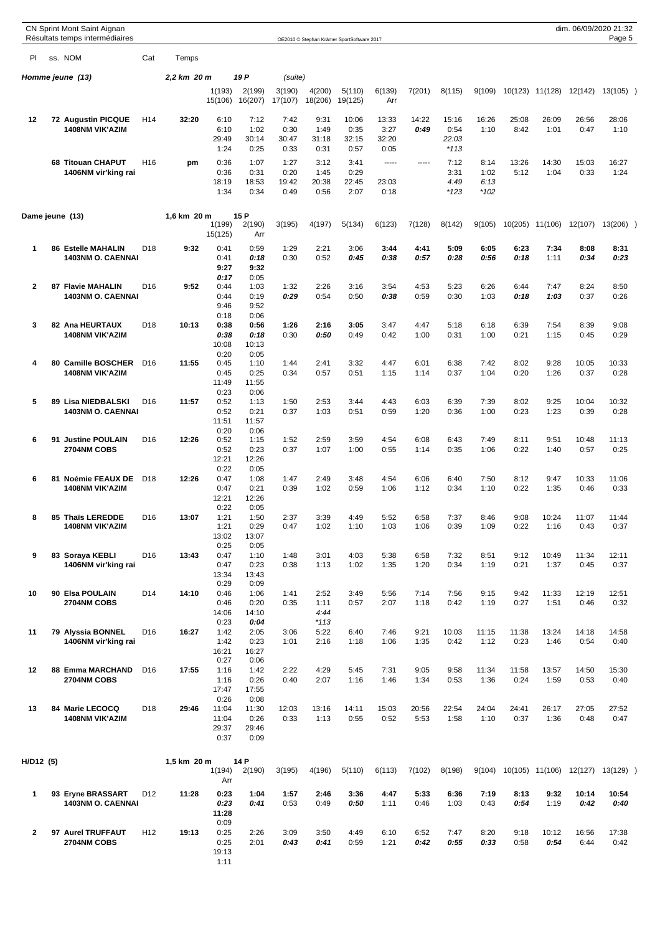|                |    | CN Sprint Mont Saint Aignan<br>Résultats temps intermédiaires |                 |             |                                       |                                       |                               |                                | OE2010 © Stephan Krämer SportSoftware 2017 |                                |               |                                  |                                |               |                 | dim. 06/09/2020 21:32 | Page 5        |  |
|----------------|----|---------------------------------------------------------------|-----------------|-------------|---------------------------------------|---------------------------------------|-------------------------------|--------------------------------|--------------------------------------------|--------------------------------|---------------|----------------------------------|--------------------------------|---------------|-----------------|-----------------------|---------------|--|
| PI             |    | ss. NOM                                                       | Cat             | Temps       |                                       |                                       |                               |                                |                                            |                                |               |                                  |                                |               |                 |                       |               |  |
|                |    | Homme jeune (13)                                              |                 | 2,2 km 20 m |                                       | 19 <sub>P</sub>                       | (suite)                       |                                |                                            |                                |               |                                  |                                |               |                 |                       |               |  |
|                |    |                                                               |                 |             | 1(193)<br>15(106)                     | 2(199)<br>16(207)                     | 3(190)<br>17(107)             | 4(200)<br>18(206)              | 5(110)<br>19(125)                          | 6(139)<br>Arr                  | 7(201)        | 8(115)                           | 9(109)                         |               | 10(123) 11(128) | 12(142)               | $13(105)$ )   |  |
| 12             |    | <b>72 Augustin PICQUE</b><br><b>1408NM VIK'AZIM</b>           | H <sub>14</sub> | 32:20       | 6:10<br>6:10<br>29:49<br>1:24         | 7:12<br>1:02<br>30:14<br>0:25         | 7:42<br>0:30<br>30:47<br>0:33 | 9:31<br>1:49<br>31:18<br>0:31  | 10:06<br>0:35<br>32:15<br>0:57             | 13:33<br>3:27<br>32:20<br>0:05 | 14:22<br>0:49 | 15:16<br>0:54<br>22:03<br>$*113$ | 16:26<br>1:10                  | 25:08<br>8:42 | 26:09<br>1:01   | 26:56<br>0:47         | 28:06<br>1:10 |  |
|                |    | 68 Titouan CHAPUT<br>1406NM vir'king rai                      | H <sub>16</sub> | pm          | 0:36<br>0:36<br>18:19<br>1:34         | 1:07<br>0:31<br>18:53<br>0:34         | 1:27<br>0:20<br>19:42<br>0:49 | 3:12<br>1:45<br>20:38<br>0:56  | 3:41<br>0:29<br>22:45<br>2:07              | $- - - - -$<br>23:03<br>0:18   | -----         | 7:12<br>3:31<br>4:49<br>*123     | 8:14<br>1:02<br>6:13<br>$*102$ | 13:26<br>5:12 | 14:30<br>1:04   | 15:03<br>0:33         | 16:27<br>1:24 |  |
|                |    | Dame jeune (13)                                               |                 | 1,6 km 20 m | 1(199)<br>15(125)                     | 15 P<br>2(190)<br>Arr                 | 3(195)                        | 4(197)                         | 5(134)                                     | 6(123)                         | 7(128)        | 8(142)                           | 9(105)                         | 10(205)       | 11(106)         | 12(107)               | 13(206)       |  |
| 1              |    | <b>86 Estelle MAHALIN</b><br><b>1403NM O. CAENNAI</b>         | D <sub>18</sub> | 9:32        | 0:41<br>0:41<br>9:27                  | 0:59<br>0:18<br>9:32                  | 1:29<br>0:30                  | 2:21<br>0:52                   | 3:06<br>0:45                               | 3:44<br>0:38                   | 4:41<br>0:57  | 5:09<br>0:28                     | 6:05<br>0:56                   | 6:23<br>0:18  | 7:34<br>1:11    | 8:08<br>0:34          | 8:31<br>0:23  |  |
| $\mathbf{2}$   |    | <b>87 Flavie MAHALIN</b><br><b>1403NM O. CAENNAI</b>          | D16             | 9:52        | 0:17<br>0:44<br>0:44<br>9:46          | 0:05<br>1:03<br>0:19<br>9:52          | 1:32<br>0:29                  | 2:26<br>0:54                   | 3:16<br>0:50                               | 3:54<br>0:38                   | 4:53<br>0:59  | 5:23<br>0:30                     | 6:26<br>1:03                   | 6:44<br>0:18  | 7:47<br>1:03    | 8:24<br>0:37          | 8:50<br>0:26  |  |
| 3              |    | 82 Ana HEURTAUX<br><b>1408NM VIK'AZIM</b>                     | D <sub>18</sub> | 10:13       | 0:18<br>0:38<br>0:38<br>10:08<br>0:20 | 0:06<br>0:56<br>0:18<br>10:13<br>0:05 | 1:26<br>0:30                  | 2:16<br>0:50                   | 3:05<br>0:49                               | 3:47<br>0:42                   | 4:47<br>1:00  | 5:18<br>0:31                     | 6:18<br>1:00                   | 6:39<br>0:21  | 7:54<br>1:15    | 8:39<br>0:45          | 9:08<br>0:29  |  |
| 4              |    | 80 Camille BOSCHER<br><b>1408NM VIK'AZIM</b>                  | D <sub>16</sub> | 11:55       | 0:45<br>0:45<br>11:49<br>0:23         | 1:10<br>0:25<br>11:55<br>0:06         | 1:44<br>0:34                  | 2:41<br>0:57                   | 3:32<br>0:51                               | 4:47<br>1:15                   | 6:01<br>1:14  | 6:38<br>0:37                     | 7:42<br>1:04                   | 8:02<br>0:20  | 9:28<br>1:26    | 10:05<br>0:37         | 10:33<br>0:28 |  |
| 5              |    | 89 Lisa NIEDBALSKI<br><b>1403NM O. CAENNAI</b>                | D <sub>16</sub> | 11:57       | 0:52<br>0:52<br>11:51<br>0:20         | 1:13<br>0:21<br>11:57<br>0:06         | 1:50<br>0:37                  | 2:53<br>1:03                   | 3:44<br>0:51                               | 4:43<br>0:59                   | 6:03<br>1:20  | 6:39<br>0:36                     | 7:39<br>1:00                   | 8:02<br>0:23  | 9:25<br>1:23    | 10:04<br>0:39         | 10:32<br>0:28 |  |
| 6              | 91 | <b>Justine POULAIN</b><br><b>2704NM COBS</b>                  | D16             | 12:26       | 0:52<br>0:52<br>12:21<br>0:22         | 1:15<br>0:23<br>12:26<br>0:05         | 1:52<br>0:37                  | 2:59<br>1:07                   | 3:59<br>1:00                               | 4:54<br>0:55                   | 6:08<br>1:14  | 6:43<br>0:35                     | 7:49<br>1:06                   | 8:11<br>0:22  | 9:51<br>1:40    | 10:48<br>0:57         | 11:13<br>0:25 |  |
| 6              |    | 81 Noémie FEAUX DE<br><b>1408NM VIK'AZIM</b>                  | D <sub>18</sub> | 12:26       | 0:47<br>0:47<br>12:21<br>0:22         | 1:08<br>0:21<br>12:26<br>0:05         | 1:47<br>0:39                  | 2:49<br>1:02                   | 3:48<br>0:59                               | 4:54<br>1:06                   | 6:06<br>1:12  | 6:40<br>0:34                     | 7:50<br>1:10                   | 8:12<br>0:22  | 9:47<br>1:35    | 10:33<br>0:46         | 11:06<br>0:33 |  |
| 8              |    | 85 Thaïs LEREDDE<br>1408NM VIK'AZIM                           | D <sub>16</sub> | 13:07       | 1:21<br>1:21<br>13:02<br>0:25         | 1:50<br>0:29<br>13:07<br>0:05         | 2:37<br>0:47                  | 3:39<br>1:02                   | 4:49<br>1:10                               | 5:52<br>1:03                   | 6:58<br>1:06  | 7:37<br>0:39                     | 8:46<br>1:09                   | 9:08<br>0:22  | 10:24<br>1:16   | 11:07<br>0:43         | 11:44<br>0:37 |  |
| 9              |    | 83 Soraya KEBLI<br>1406NM vir'king rai                        | D <sub>16</sub> | 13:43       | 0:47<br>0:47<br>13:34<br>0:29         | 1:10<br>0:23<br>13:43<br>0:09         | 1:48<br>0:38                  | 3:01<br>1:13                   | 4:03<br>1:02                               | 5:38<br>1:35                   | 6:58<br>1:20  | 7:32<br>0:34                     | 8:51<br>1:19                   | 9:12<br>0:21  | 10:49<br>1:37   | 11:34<br>0:45         | 12:11<br>0:37 |  |
| 10             |    | 90 Elsa POULAIN<br>2704NM COBS                                | D <sub>14</sub> | 14:10       | 0:46<br>0:46<br>14:06<br>0:23         | 1:06<br>0:20<br>14:10<br>0:04         | 1:41<br>0:35                  | 2:52<br>1:11<br>4:44<br>$*113$ | 3:49<br>0:57                               | 5:56<br>2:07                   | 7:14<br>1:18  | 7:56<br>0:42                     | 9:15<br>1:19                   | 9:42<br>0:27  | 11:33<br>1:51   | 12:19<br>0:46         | 12:51<br>0:32 |  |
| 11             |    | 79 Alyssia BONNEL<br>1406NM vir'king rai                      | D <sub>16</sub> | 16:27       | 1:42<br>1:42<br>16:21<br>0:27         | 2:05<br>0:23<br>16:27<br>0:06         | 3:06<br>1:01                  | 5:22<br>2:16                   | 6:40<br>1:18                               | 7:46<br>1:06                   | 9:21<br>1:35  | 10:03<br>0:42                    | 11:15<br>1:12                  | 11:38<br>0:23 | 13:24<br>1:46   | 14:18<br>0:54         | 14:58<br>0:40 |  |
| 12             |    | 88 Emma MARCHAND<br>2704NM COBS                               | D <sub>16</sub> | 17:55       | 1:16<br>1:16<br>17:47<br>0:26         | 1:42<br>0:26<br>17:55<br>0:08         | 2:22<br>0:40                  | 4:29<br>2:07                   | 5:45<br>1:16                               | 7:31<br>1:46                   | 9:05<br>1:34  | 9:58<br>0:53                     | 11:34<br>1:36                  | 11:58<br>0:24 | 13:57<br>1:59   | 14:50<br>0:53         | 15:30<br>0:40 |  |
| 13             |    | 84 Marie LECOCQ<br><b>1408NM VIK'AZIM</b>                     | D <sub>18</sub> | 29:46       | 11:04<br>11:04<br>29:37<br>0:37       | 11:30<br>0:26<br>29:46<br>0:09        | 12:03<br>0:33                 | 13:16<br>1:13                  | 14:11<br>0:55                              | 15:03<br>0:52                  | 20:56<br>5:53 | 22:54<br>1:58                    | 24:04<br>1:10                  | 24:41<br>0:37 | 26:17<br>1:36   | 27:05<br>0:48         | 27:52<br>0:47 |  |
| H/D12 (5)      |    |                                                               |                 | 1,5 km 20 m | 1(194)<br>Arr                         | 14 P<br>2(190)                        | 3(195)                        | 4(196)                         | 5(110)                                     | 6(113)                         | 7(102)        | 8(198)                           | 9(104)                         |               | 10(105) 11(106) | 12(127)               | 13(129)       |  |
| 1              |    | 93 Eryne BRASSART<br>1403NM O. CAENNAI                        | D <sub>12</sub> | 11:28       | 0:23<br>0:23<br>11:28<br>0:09         | 1:04<br>0:41                          | 1:57<br>0:53                  | 2:46<br>0:49                   | 3:36<br>0:50                               | 4:47<br>1:11                   | 5:33<br>0:46  | 6:36<br>1:03                     | 7:19<br>0:43                   | 8:13<br>0:54  | 9:32<br>1:19    | 10:14<br>0:42         | 10:54<br>0:40 |  |
| $\overline{2}$ |    | 97 Aurel TRUFFAUT<br>2704NM COBS                              | H <sub>12</sub> | 19:13       | 0:25<br>0:25<br>19:13<br>1:11         | 2:26<br>2:01                          | 3:09<br>0:43                  | 3:50<br>0:41                   | 4:49<br>0:59                               | 6:10<br>1:21                   | 6:52<br>0:42  | 7:47<br>0:55                     | 8:20<br>0:33                   | 9:18<br>0:58  | 10:12<br>0:54   | 16:56<br>6:44         | 17:38<br>0:42 |  |